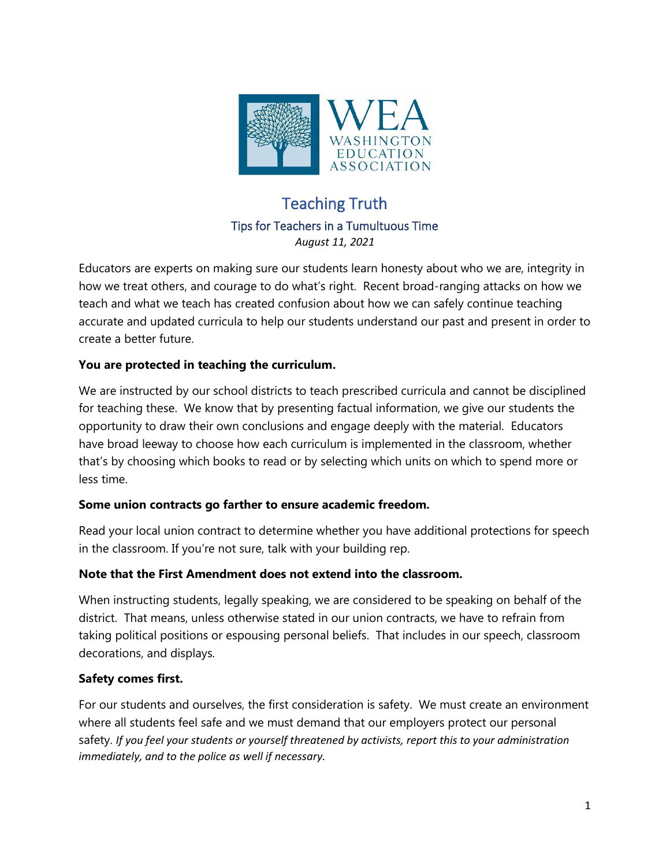

# Teaching Truth Tips for Teachers in a Tumultuous Time *August 11, 2021*

Educators are experts on making sure our students learn honesty about who we are, integrity in how we treat others, and courage to do what's right. Recent broad-ranging attacks on how we teach and what we teach has created confusion about how we can safely continue teaching accurate and updated curricula to help our students understand our past and present in order to create a better future.

# **You are protected in teaching the curriculum.**

We are instructed by our school districts to teach prescribed curricula and cannot be disciplined for teaching these. We know that by presenting factual information, we give our students the opportunity to draw their own conclusions and engage deeply with the material. Educators have broad leeway to choose how each curriculum is implemented in the classroom, whether that's by choosing which books to read or by selecting which units on which to spend more or less time.

# **Some union contracts go farther to ensure academic freedom.**

Read your local union contract to determine whether you have additional protections for speech in the classroom. If you're not sure, talk with your building rep.

# **Note that the First Amendment does not extend into the classroom.**

When instructing students, legally speaking, we are considered to be speaking on behalf of the district. That means, unless otherwise stated in our union contracts, we have to refrain from taking political positions or espousing personal beliefs. That includes in our speech, classroom decorations, and displays.

# **Safety comes first.**

For our students and ourselves, the first consideration is safety. We must create an environment where all students feel safe and we must demand that our employers protect our personal safety. *If you feel your students or yourself threatened by activists, report this to your administration immediately, and to the police as well if necessary.*